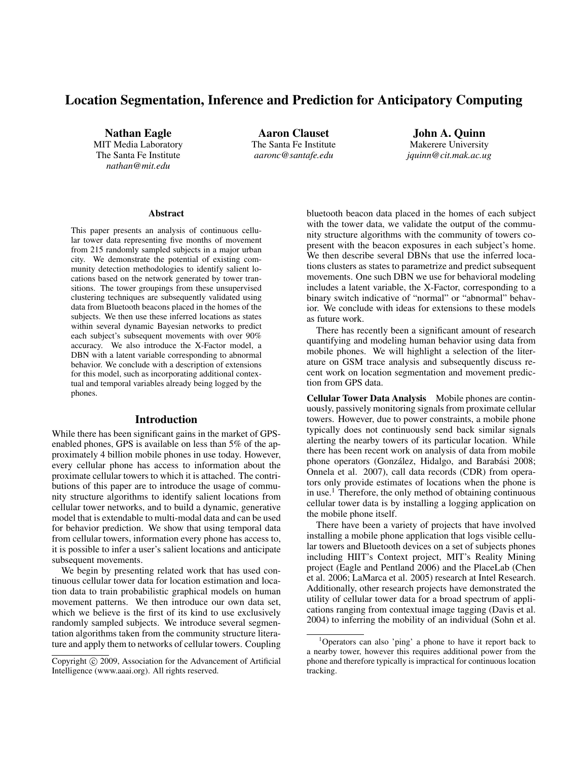# Location Segmentation, Inference and Prediction for Anticipatory Computing

Nathan Eagle MIT Media Laboratory The Santa Fe Institute *nathan@mit.edu*

Aaron Clauset The Santa Fe Institute *aaronc@santafe.edu*

John A. Quinn Makerere University *jquinn@cit.mak.ac.ug*

#### **Abstract**

This paper presents an analysis of continuous cellular tower data representing five months of movement from 215 randomly sampled subjects in a major urban city. We demonstrate the potential of existing community detection methodologies to identify salient locations based on the network generated by tower transitions. The tower groupings from these unsupervised clustering techniques are subsequently validated using data from Bluetooth beacons placed in the homes of the subjects. We then use these inferred locations as states within several dynamic Bayesian networks to predict each subject's subsequent movements with over 90% accuracy. We also introduce the X-Factor model, a DBN with a latent variable corresponding to abnormal behavior. We conclude with a description of extensions for this model, such as incorporating additional contextual and temporal variables already being logged by the phones.

#### Introduction

While there has been significant gains in the market of GPSenabled phones, GPS is available on less than 5% of the approximately 4 billion mobile phones in use today. However, every cellular phone has access to information about the proximate cellular towers to which it is attached. The contributions of this paper are to introduce the usage of community structure algorithms to identify salient locations from cellular tower networks, and to build a dynamic, generative model that is extendable to multi-modal data and can be used for behavior prediction. We show that using temporal data from cellular towers, information every phone has access to, it is possible to infer a user's salient locations and anticipate subsequent movements.

We begin by presenting related work that has used continuous cellular tower data for location estimation and location data to train probabilistic graphical models on human movement patterns. We then introduce our own data set, which we believe is the first of its kind to use exclusively randomly sampled subjects. We introduce several segmentation algorithms taken from the community structure literature and apply them to networks of cellular towers. Coupling bluetooth beacon data placed in the homes of each subject with the tower data, we validate the output of the community structure algorithms with the community of towers copresent with the beacon exposures in each subject's home. We then describe several DBNs that use the inferred locations clusters as states to parametrize and predict subsequent movements. One such DBN we use for behavioral modeling includes a latent variable, the X-Factor, corresponding to a binary switch indicative of "normal" or "abnormal" behavior. We conclude with ideas for extensions to these models as future work.

There has recently been a significant amount of research quantifying and modeling human behavior using data from mobile phones. We will highlight a selection of the literature on GSM trace analysis and subsequently discuss recent work on location segmentation and movement prediction from GPS data.

Cellular Tower Data Analysis Mobile phones are continuously, passively monitoring signals from proximate cellular towers. However, due to power constraints, a mobile phone typically does not continuously send back similar signals alerting the nearby towers of its particular location. While there has been recent work on analysis of data from mobile phone operators (González, Hidalgo, and Barabási 2008; Onnela et al. 2007), call data records (CDR) from operators only provide estimates of locations when the phone is in use.<sup>1</sup> Therefore, the only method of obtaining continuous cellular tower data is by installing a logging application on the mobile phone itself.

There have been a variety of projects that have involved installing a mobile phone application that logs visible cellular towers and Bluetooth devices on a set of subjects phones including HIIT's Context project, MIT's Reality Mining project (Eagle and Pentland 2006) and the PlaceLab (Chen et al. 2006; LaMarca et al. 2005) research at Intel Research. Additionally, other research projects have demonstrated the utility of cellular tower data for a broad spectrum of applications ranging from contextual image tagging (Davis et al. 2004) to inferring the mobility of an individual (Sohn et al.

Copyright (c) 2009, Association for the Advancement of Artificial Intelligence (www.aaai.org). All rights reserved.

 $1$ Operators can also 'ping' a phone to have it report back to a nearby tower, however this requires additional power from the phone and therefore typically is impractical for continuous location tracking.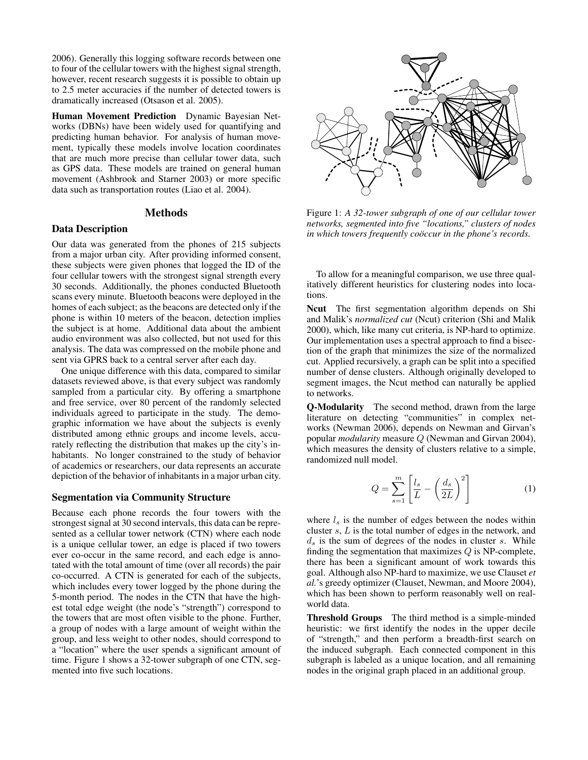2006). Generally this logging software records between one to four of the cellular towers with the highest signal strength, however, recent research suggests it is possible to obtain up to 2.5 meter accuracies if the number of detected towers is dramatically increased (Otsason et al. 2005).

Human Movement Prediction Dynamic Bayesian Networks (DBNs) have been widely used for quantifying and predicting human behavior. For analysis of human movement, typically these models involve location coordinates that are much more precise than cellular tower data, such as GPS data. These models are trained on general human movement (Ashbrook and Starner 2003) or more specific data such as transportation routes (Liao et al. 2004).

## **Methods**

#### Data Description

Our data was generated from the phones of 215 subjects from a major urban city. After providing informed consent, these subjects were given phones that logged the ID of the four cellular towers with the strongest signal strength every 30 seconds. Additionally, the phones conducted Bluetooth scans every minute. Bluetooth beacons were deployed in the homes of each subject; as the beacons are detected only if the phone is within 10 meters of the beacon, detection implies the subject is at home. Additional data about the ambient audio environment was also collected, but not used for this analysis. The data was compressed on the mobile phone and sent via GPRS back to a central server after each day.

One unique difference with this data, compared to similar datasets reviewed above, is that every subject was randomly sampled from a particular city. By offering a smartphone and free service, over 80 percent of the randomly selected individuals agreed to participate in the study. The demographic information we have about the subjects is evenly distributed among ethnic groups and income levels, accurately reflecting the distribution that makes up the city's inhabitants. No longer constrained to the study of behavior of academics or researchers, our data represents an accurate depiction of the behavior of inhabitants in a major urban city.

#### Segmentation via Community Structure

Because each phone records the four towers with the strongest signal at 30 second intervals, this data can be represented as a cellular tower network (CTN) where each node is a unique cellular tower, an edge is placed if two towers ever co-occur in the same record, and each edge is annotated with the total amount of time (over all records) the pair co-occurred. A CTN is generated for each of the subjects, which includes every tower logged by the phone during the 5-month period. The nodes in the CTN that have the highest total edge weight (the node's "strength") correspond to the towers that are most often visible to the phone. Further, a group of nodes with a large amount of weight within the group, and less weight to other nodes, should correspond to a "location" where the user spends a significant amount of time. Figure 1 shows a 32-tower subgraph of one CTN, segmented into five such locations.



Figure 1: *A 32-tower subgraph of one of our cellular tower networks, segmented into five "locations," clusters of nodes in which towers frequently coöccur in the phone's records.* 

To allow for a meaningful comparison, we use three qualitatively different heuristics for clustering nodes into locations.

Ncut The first segmentation algorithm depends on Shi and Malik's *normalized cut* (Ncut) criterion (Shi and Malik 2000), which, like many cut criteria, is NP-hard to optimize. Our implementation uses a spectral approach to find a bisection of the graph that minimizes the size of the normalized cut. Applied recursively, a graph can be split into a specified number of dense clusters. Although originally developed to segment images, the Ncut method can naturally be applied to networks.

Q-Modularity The second method, drawn from the large literature on detecting "communities" in complex networks (Newman 2006), depends on Newman and Girvan's popular *modularity* measure Q (Newman and Girvan 2004), which measures the density of clusters relative to a simple, randomized null model.

$$
Q = \sum_{s=1}^{m} \left[ \frac{l_s}{L} - \left( \frac{d_s}{2L} \right)^2 \right] \tag{1}
$$

where  $l_s$  is the number of edges between the nodes within cluster s, L is the total number of edges in the network, and  $d_s$  is the sum of degrees of the nodes in cluster s. While finding the segmentation that maximizes  $Q$  is NP-complete, there has been a significant amount of work towards this goal. Although also NP-hard to maximize, we use Clauset *et al.*'s greedy optimizer (Clauset, Newman, and Moore 2004), which has been shown to perform reasonably well on realworld data.

Threshold Groups The third method is a simple-minded heuristic: we first identify the nodes in the upper decile of "strength," and then perform a breadth-first search on the induced subgraph. Each connected component in this subgraph is labeled as a unique location, and all remaining nodes in the original graph placed in an additional group.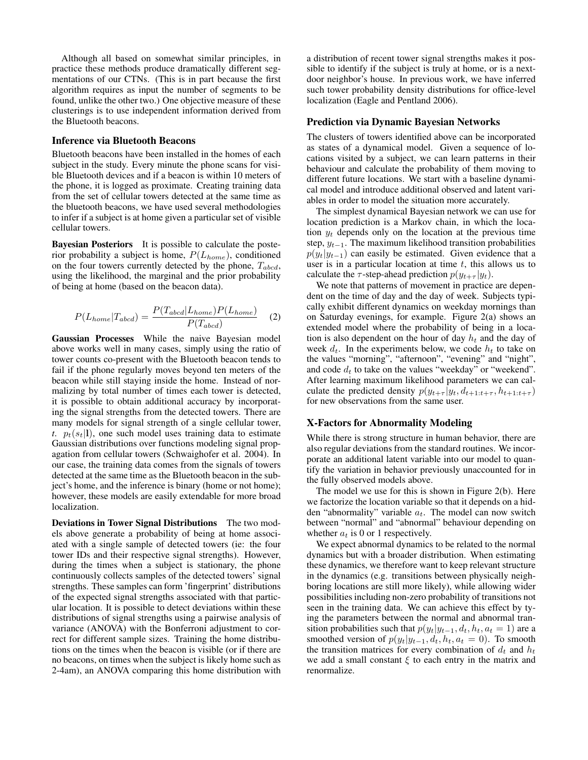Although all based on somewhat similar principles, in practice these methods produce dramatically different segmentations of our CTNs. (This is in part because the first algorithm requires as input the number of segments to be found, unlike the other two.) One objective measure of these clusterings is to use independent information derived from the Bluetooth beacons.

#### Inference via Bluetooth Beacons

Bluetooth beacons have been installed in the homes of each subject in the study. Every minute the phone scans for visible Bluetooth devices and if a beacon is within 10 meters of the phone, it is logged as proximate. Creating training data from the set of cellular towers detected at the same time as the bluetooth beacons, we have used several methodologies to infer if a subject is at home given a particular set of visible cellular towers.

Bayesian Posteriors It is possible to calculate the posterior probability a subject is home,  $P(L_{home})$ , conditioned on the four towers currently detected by the phone,  $T_{abcd}$ , using the likelihood, the marginal and the prior probability of being at home (based on the beacon data).

$$
P(L_{home}|T_{abcd}) = \frac{P(T_{abcd}|L_{home})P(L_{home})}{P(T_{abcd})}
$$
 (2)

Gaussian Processes While the naive Bayesian model above works well in many cases, simply using the ratio of tower counts co-present with the Bluetooth beacon tends to fail if the phone regularly moves beyond ten meters of the beacon while still staying inside the home. Instead of normalizing by total number of times each tower is detected, it is possible to obtain additional accuracy by incorporating the signal strengths from the detected towers. There are many models for signal strength of a single cellular tower, *t.*  $p_t(s_t|\mathbf{l})$ , one such model uses training data to estimate Gaussian distributions over functions modeling signal propagation from cellular towers (Schwaighofer et al. 2004). In our case, the training data comes from the signals of towers detected at the same time as the Bluetooth beacon in the subject's home, and the inference is binary (home or not home); however, these models are easily extendable for more broad localization.

Deviations in Tower Signal Distributions The two models above generate a probability of being at home associated with a single sample of detected towers (ie: the four tower IDs and their respective signal strengths). However, during the times when a subject is stationary, the phone continuously collects samples of the detected towers' signal strengths. These samples can form 'fingerprint' distributions of the expected signal strengths associated with that particular location. It is possible to detect deviations within these distributions of signal strengths using a pairwise analysis of variance (ANOVA) with the Bonferroni adjustment to correct for different sample sizes. Training the home distributions on the times when the beacon is visible (or if there are no beacons, on times when the subject is likely home such as 2-4am), an ANOVA comparing this home distribution with

a distribution of recent tower signal strengths makes it possible to identify if the subject is truly at home, or is a nextdoor neighbor's house. In previous work, we have inferred such tower probability density distributions for office-level localization (Eagle and Pentland 2006).

### Prediction via Dynamic Bayesian Networks

The clusters of towers identified above can be incorporated as states of a dynamical model. Given a sequence of locations visited by a subject, we can learn patterns in their behaviour and calculate the probability of them moving to different future locations. We start with a baseline dynamical model and introduce additional observed and latent variables in order to model the situation more accurately.

The simplest dynamical Bayesian network we can use for location prediction is a Markov chain, in which the location  $y_t$  depends only on the location at the previous time step,  $y_{t-1}$ . The maximum likelihood transition probabilities  $p(y_t|y_{t-1})$  can easily be estimated. Given evidence that a user is in a particular location at time  $t$ , this allows us to calculate the  $\tau$ -step-ahead prediction  $p(y_{t+\tau} | y_t)$ .

We note that patterns of movement in practice are dependent on the time of day and the day of week. Subjects typically exhibit different dynamics on weekday mornings than on Saturday evenings, for example. Figure 2(a) shows an extended model where the probability of being in a location is also dependent on the hour of day  $h_t$  and the day of week  $d_t$ . In the experiments below, we code  $h_t$  to take on the values "morning", "afternoon", "evening" and "night", and code  $d_t$  to take on the values "weekday" or "weekend". After learning maximum likelihood parameters we can calculate the predicted density  $p(y_{t+\tau} | y_t, d_{t+1:t+\tau}, h_{t+1:t+\tau})$ for new observations from the same user.

#### X-Factors for Abnormality Modeling

While there is strong structure in human behavior, there are also regular deviations from the standard routines. We incorporate an additional latent variable into our model to quantify the variation in behavior previously unaccounted for in the fully observed models above.

The model we use for this is shown in Figure 2(b). Here we factorize the location variable so that it depends on a hidden "abnormality" variable  $a_t$ . The model can now switch between "normal" and "abnormal" behaviour depending on whether  $a_t$  is 0 or 1 respectively.

We expect abnormal dynamics to be related to the normal dynamics but with a broader distribution. When estimating these dynamics, we therefore want to keep relevant structure in the dynamics (e.g. transitions between physically neighboring locations are still more likely), while allowing wider possibilities including non-zero probability of transitions not seen in the training data. We can achieve this effect by tying the parameters between the normal and abnormal transition probabilities such that  $p(y_t|y_{t-1}, d_t, h_t, a_t = 1)$  are a smoothed version of  $p(y_t|y_{t-1}, d_t, h_t, a_t = 0)$ . To smooth the transition matrices for every combination of  $d_t$  and  $h_t$ we add a small constant  $\xi$  to each entry in the matrix and renormalize.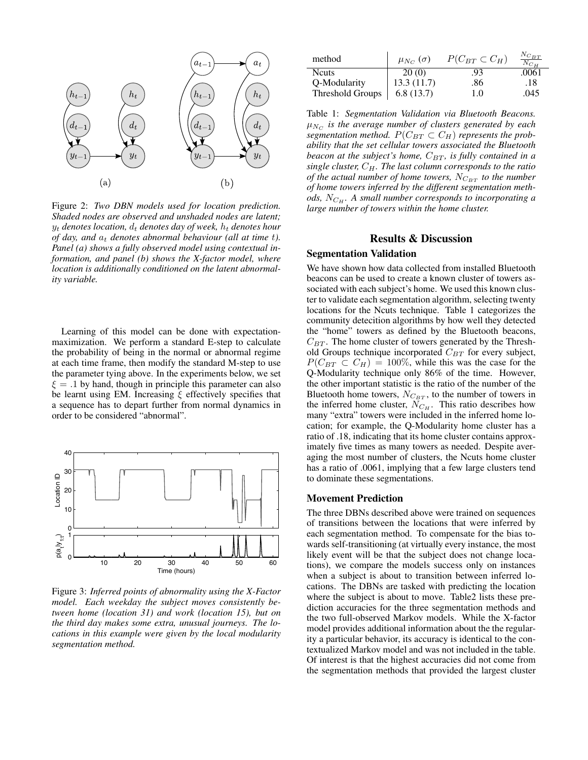

Figure 2: *Two DBN models used for location prediction. Shaded nodes are observed and unshaded nodes are latent;*  $y_t$  *denotes location,*  $d_t$  *denotes day of week,*  $h_t$  *denotes hour of day, and*  $a_t$  *denotes abnormal behaviour (all at time t). Panel (a) shows a fully observed model using contextual information, and panel (b) shows the X-factor model, where location is additionally conditioned on the latent abnormality variable.*

Learning of this model can be done with expectationmaximization. We perform a standard E-step to calculate the probability of being in the normal or abnormal regime at each time frame, then modify the standard M-step to use the parameter tying above. In the experiments below, we set  $\xi = .1$  by hand, though in principle this parameter can also be learnt using EM. Increasing  $\xi$  effectively specifies that a sequence has to depart further from normal dynamics in order to be considered "abnormal".



Figure 3: *Inferred points of abnormality using the X-Factor model. Each weekday the subject moves consistently between home (location 31) and work (location 15), but on the third day makes some extra, unusual journeys. The locations in this example were given by the local modularity segmentation method.*

| method           | $\mu_{N_C}(\sigma)$ | $P(C_{BT} \subset C_H)$ | $N_{C_{BT}}$<br>$N_{C_{H}}$ |
|------------------|---------------------|-------------------------|-----------------------------|
| <b>N</b> cuts    | 20(0)               | .93                     | .0061                       |
| Q-Modularity     | 13.3(11.7)          | .86                     | .18                         |
| Threshold Groups | 6.8(13.7)           | 1.0                     | .045                        |

Table 1: *Segmentation Validation via Bluetooth Beacons.*  $\mu_{N_C}$  is the average number of clusters generated by each *segmentation method.*  $P(C_{BT} \subset C_H)$  *represents the probability that the set cellular towers associated the Bluetooth beacon at the subject's home,*  $C_{BT}$ *, is fully contained in a single cluster,* CH*. The last column corresponds to the ratio of the actual number of home towers,*  $N_{C_{BT}}$  *to the number of home towers inferred by the different segmentation methods,*  $N_{C_H}$ *. A small number corresponds to incorporating a large number of towers within the home cluster.*

## Results & Discussion

## Segmentation Validation

We have shown how data collected from installed Bluetooth beacons can be used to create a known cluster of towers associated with each subject's home. We used this known cluster to validate each segmentation algorithm, selecting twenty locations for the Ncuts technique. Table 1 categorizes the community detecition algorithms by how well they detected the "home" towers as defined by the Bluetooth beacons,  $C_{BT}$ . The home cluster of towers generated by the Threshold Groups technique incorporated  $C_{BT}$  for every subject,  $P(C_{BT} \subset C_H) = 100\%$ , while this was the case for the Q-Modularity technique only 86% of the time. However, the other important statistic is the ratio of the number of the Bluetooth home towers,  $N_{C_{BT}}$ , to the number of towers in the inferred home cluster,  $N_{C_H}$ . This ratio describes how many "extra" towers were included in the inferred home location; for example, the Q-Modularity home cluster has a ratio of .18, indicating that its home cluster contains approximately five times as many towers as needed. Despite averaging the most number of clusters, the Ncuts home cluster has a ratio of .0061, implying that a few large clusters tend to dominate these segmentations.

#### Movement Prediction

The three DBNs described above were trained on sequences of transitions between the locations that were inferred by each segmentation method. To compensate for the bias towards self-transitioning (at virtually every instance, the most likely event will be that the subject does not change locations), we compare the models success only on instances when a subject is about to transition between inferred locations. The DBNs are tasked with predicting the location where the subject is about to move. Table2 lists these prediction accuracies for the three segmentation methods and the two full-observed Markov models. While the X-factor model provides additional information about the the regularity a particular behavior, its accuracy is identical to the contextualized Markov model and was not included in the table. Of interest is that the highest accuracies did not come from the segmentation methods that provided the largest cluster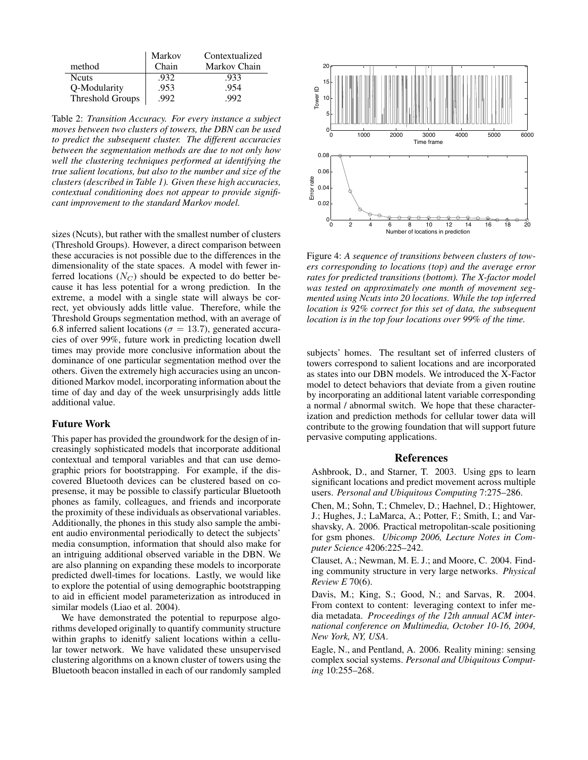|                         | Markov | Contextualized |
|-------------------------|--------|----------------|
| method                  | Chain  | Markov Chain   |
| <b>N</b> cuts           | .932   | .933           |
| Q-Modularity            | .953   | .954           |
| <b>Threshold Groups</b> | 992    | 992            |

Table 2: *Transition Accuracy. For every instance a subject moves between two clusters of towers, the DBN can be used to predict the subsequent cluster. The different accuracies between the segmentation methods are due to not only how well the clustering techniques performed at identifying the true salient locations, but also to the number and size of the clusters (described in Table 1). Given these high accuracies, contextual conditioning does not appear to provide significant improvement to the standard Markov model.*

sizes (Ncuts), but rather with the smallest number of clusters (Threshold Groups). However, a direct comparison between these accuracies is not possible due to the differences in the dimensionality of the state spaces. A model with fewer inferred locations  $(N_C)$  should be expected to do better because it has less potential for a wrong prediction. In the extreme, a model with a single state will always be correct, yet obviously adds little value. Therefore, while the Threshold Groups segmentation method, with an average of 6.8 inferred salient locations ( $\sigma = 13.7$ ), generated accuracies of over 99%, future work in predicting location dwell times may provide more conclusive information about the dominance of one particular segmentation method over the others. Given the extremely high accuracies using an unconditioned Markov model, incorporating information about the time of day and day of the week unsurprisingly adds little additional value.

## Future Work

This paper has provided the groundwork for the design of increasingly sophisticated models that incorporate additional contextual and temporal variables and that can use demographic priors for bootstrapping. For example, if the discovered Bluetooth devices can be clustered based on copresense, it may be possible to classify particular Bluetooth phones as family, colleagues, and friends and incorporate the proximity of these individuals as observational variables. Additionally, the phones in this study also sample the ambient audio environmental periodically to detect the subjects' media consumption, information that should also make for an intriguing additional observed variable in the DBN. We are also planning on expanding these models to incorporate predicted dwell-times for locations. Lastly, we would like to explore the potential of using demographic bootstrapping to aid in efficient model parameterization as introduced in similar models (Liao et al. 2004).

We have demonstrated the potential to repurpose algorithms developed originally to quantify community structure within graphs to idenitfy salient locations within a cellular tower network. We have validated these unsupervised clustering algorithms on a known cluster of towers using the Bluetooth beacon installed in each of our randomly sampled



Figure 4: *A sequence of transitions between clusters of towers corresponding to locations (top) and the average error rates for predicted transitions (bottom). The X-factor model was tested on approximately one month of movement segmented using Ncuts into 20 locations. While the top inferred location is 92% correct for this set of data, the subsequent location is in the top four locations over 99% of the time.*

subjects' homes. The resultant set of inferred clusters of towers correspond to salient locations and are incorporated as states into our DBN models. We introduced the X-Factor model to detect behaviors that deviate from a given routine by incorporating an additional latent variable corresponding a normal / abnormal switch. We hope that these characterization and prediction methods for cellular tower data will contribute to the growing foundation that will support future pervasive computing applications.

## References

Ashbrook, D., and Starner, T. 2003. Using gps to learn significant locations and predict movement across multiple users. *Personal and Ubiquitous Computing* 7:275–286.

Chen, M.; Sohn, T.; Chmelev, D.; Haehnel, D.; Hightower, J.; Hughes, J.; LaMarca, A.; Potter, F.; Smith, I.; and Varshavsky, A. 2006. Practical metropolitan-scale positioning for gsm phones. *Ubicomp 2006, Lecture Notes in Computer Science* 4206:225–242.

Clauset, A.; Newman, M. E. J.; and Moore, C. 2004. Finding community structure in very large networks. *Physical Review E* 70(6).

Davis, M.; King, S.; Good, N.; and Sarvas, R. 2004. From context to content: leveraging context to infer media metadata. *Proceedings of the 12th annual ACM international conference on Multimedia, October 10-16, 2004, New York, NY, USA*.

Eagle, N., and Pentland, A. 2006. Reality mining: sensing complex social systems. *Personal and Ubiquitous Computing* 10:255–268.